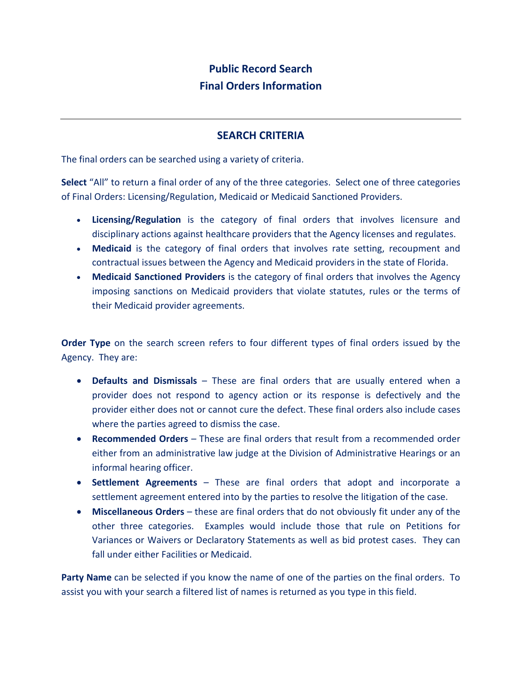## **Public Record Search Final Orders Information**

## **SEARCH CRITERIA**

The final orders can be searched using a variety of criteria.

**Select** "All" to return a final order of any of the three categories. Select one of three categories of Final Orders: Licensing/Regulation, Medicaid or Medicaid Sanctioned Providers.

- **Licensing/Regulation** is the category of final orders that involves licensure and disciplinary actions against healthcare providers that the Agency licenses and regulates.
- **Medicaid** is the category of final orders that involves rate setting, recoupment and contractual issues between the Agency and Medicaid providers in the state of Florida.
- **Medicaid Sanctioned Providers** is the category of final orders that involves the Agency imposing sanctions on Medicaid providers that violate statutes, rules or the terms of their Medicaid provider agreements.

**Order Type** on the search screen refers to four different types of final orders issued by the Agency. They are:

- **Defaults and Dismissals** These are final orders that are usually entered when a provider does not respond to agency action or its response is defectively and the provider either does not or cannot cure the defect. These final orders also include cases where the parties agreed to dismiss the case.
- **Recommended Orders** These are final orders that result from a recommended order either from an administrative law judge at the Division of Administrative Hearings or an informal hearing officer.
- **Settlement Agreements** These are final orders that adopt and incorporate a settlement agreement entered into by the parties to resolve the litigation of the case.
- **Miscellaneous Orders** these are final orders that do not obviously fit under any of the other three categories. Examples would include those that rule on Petitions for Variances or Waivers or Declaratory Statements as well as bid protest cases. They can fall under either Facilities or Medicaid.

**Party Name** can be selected if you know the name of one of the parties on the final orders. To assist you with your search a filtered list of names is returned as you type in this field.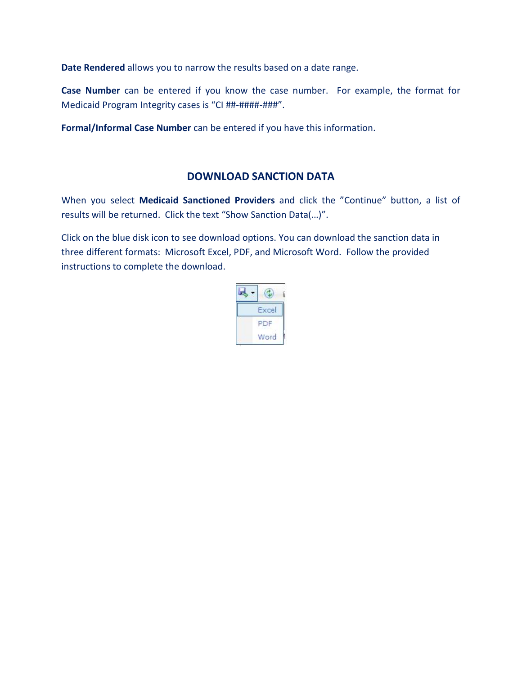**Date Rendered** allows you to narrow the results based on a date range.

**Case Number** can be entered if you know the case number. For example, the format for Medicaid Program Integrity cases is "CI ##-####-###".

**Formal/Informal Case Number** can be entered if you have this information.

## **DOWNLOAD SANCTION DATA**

When you select **Medicaid Sanctioned Providers** and click the "Continue" button, a list of results will be returned. Click the text "Show Sanction Data(…)".

Click on the blue disk icon to see download options. You can download the sanction data in three different formats: Microsoft Excel, PDF, and Microsoft Word. Follow the provided instructions to complete the download.

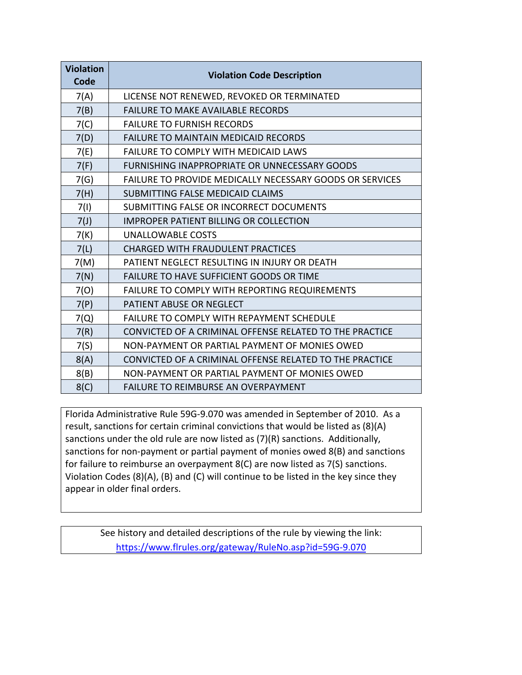| <b>Violation</b><br>Code | <b>Violation Code Description</b>                               |
|--------------------------|-----------------------------------------------------------------|
| 7(A)                     | LICENSE NOT RENEWED, REVOKED OR TERMINATED                      |
| 7(B)                     | <b>FAILURE TO MAKE AVAILABLE RECORDS</b>                        |
| 7(C)                     | <b>FAILURE TO FURNISH RECORDS</b>                               |
| 7(D)                     | <b>FAILURE TO MAINTAIN MEDICAID RECORDS</b>                     |
| 7(E)                     | <b>FAILURE TO COMPLY WITH MEDICAID LAWS</b>                     |
| 7(F)                     | FURNISHING INAPPROPRIATE OR UNNECESSARY GOODS                   |
| 7(G)                     | <b>FAILURE TO PROVIDE MEDICALLY NECESSARY GOODS OR SERVICES</b> |
| 7(H)                     | SUBMITTING FALSE MEDICAID CLAIMS                                |
| 7(1)                     | SUBMITTING FALSE OR INCORRECT DOCUMENTS                         |
| 7(J)                     | <b>IMPROPER PATIENT BILLING OR COLLECTION</b>                   |
| 7(K)                     | <b>UNALLOWABLE COSTS</b>                                        |
| 7(L)                     | <b>CHARGED WITH FRAUDULENT PRACTICES</b>                        |
| 7(M)                     | PATIENT NEGLECT RESULTING IN INJURY OR DEATH                    |
| 7(N)                     | <b>FAILURE TO HAVE SUFFICIENT GOODS OR TIME</b>                 |
| 7(0)                     | FAILURE TO COMPLY WITH REPORTING REQUIREMENTS                   |
| 7(P)                     | PATIENT ABUSE OR NEGLECT                                        |
| 7(Q)                     | <b>FAILURE TO COMPLY WITH REPAYMENT SCHEDULE</b>                |
| 7(R)                     | CONVICTED OF A CRIMINAL OFFENSE RELATED TO THE PRACTICE         |
| 7(S)                     | NON-PAYMENT OR PARTIAL PAYMENT OF MONIES OWED                   |
| 8(A)                     | CONVICTED OF A CRIMINAL OFFENSE RELATED TO THE PRACTICE         |
| 8(B)                     | NON-PAYMENT OR PARTIAL PAYMENT OF MONIES OWED                   |
| 8(C)                     | <b>FAILURE TO REIMBURSE AN OVERPAYMENT</b>                      |

Florida Administrative Rule 59G-9.070 was amended in September of 2010. As a result, sanctions for certain criminal convictions that would be listed as (8)(A) sanctions under the old rule are now listed as (7)(R) sanctions. Additionally, sanctions for non-payment or partial payment of monies owed 8(B) and sanctions for failure to reimburse an overpayment 8(C) are now listed as 7(S) sanctions. Violation Codes (8)(A), (B) and (C) will continue to be listed in the key since they appear in older final orders.

> See history and detailed descriptions of the rule by viewing the link: <https://www.flrules.org/gateway/RuleNo.asp?id=59G-9.070>